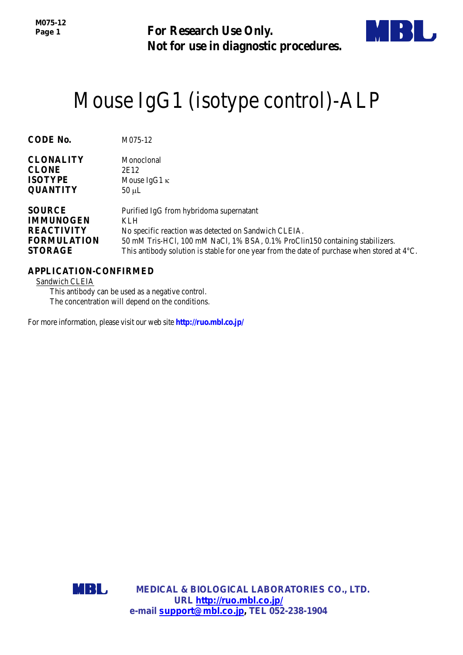**For Research Use Only. Not for use in diagnostic procedures.**



# Mouse IgG1 (isotype control)-ALP

| <b>CODE No.</b>    | M075-12                                                                                               |
|--------------------|-------------------------------------------------------------------------------------------------------|
|                    |                                                                                                       |
| <b>CLONALITY</b>   | Monoclonal                                                                                            |
| <b>CLONE</b>       | 2E12                                                                                                  |
| <b>ISOTYPE</b>     | Mouse IgG1 $\kappa$                                                                                   |
| <b>QUANTITY</b>    | $50 \mu L$                                                                                            |
| <b>SOURCE</b>      | Purified IgG from hybridoma supernatant                                                               |
| <b>IMMUNOGEN</b>   | <b>KLH</b>                                                                                            |
| <b>REACTIVITY</b>  | No specific reaction was detected on Sandwich CLEIA.                                                  |
| <b>FORMULATION</b> | 50 mM Tris-HCl, 100 mM NaCl, 1% BSA, 0.1% ProClin150 containing stabilizers.                          |
| <b>STORAGE</b>     | This antibody solution is stable for one year from the date of purchase when stored at $4^{\circ}C$ . |

# **APPLICATION-CONFIRMED**

Sandwich CLEIA

This antibody can be used as a negative control. The concentration will depend on the conditions.

For more information, please visit our web site **http://ruo.mbl.co.jp/**

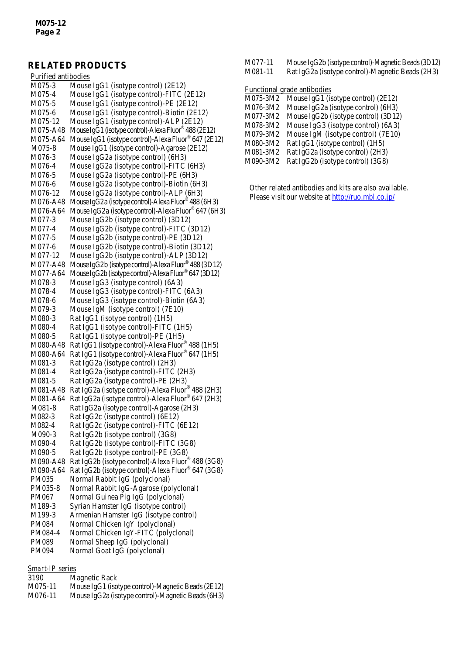# **RELATED PRODUCTS**

| Purified antibodies |                                                       |
|---------------------|-------------------------------------------------------|
| M075-3              | Mouse IgG1 (isotype control) (2E12)                   |
| M075-4              | Mouse IgG1 (isotype control)-FITC (2E12)              |
| M075-5              | Mouse IgG1 (isotype control)-PE (2E12)                |
| M075-6              | Mouse IgG1 (isotype control)-Biotin (2E12)            |
| M075-12             | Mouse IgG1 (isotype control)-ALP (2E12)               |
| M075-A48            | Mouse IgG1 (isotype control)-Alexa Fluor® 488 (2E12)  |
| M075-A64            | Mouse IgG1 (isotype control)-Alexa Fluor® 647 (2E12)  |
| M075-8              | Mouse IgG1 (isotype control)-Agarose (2E12)           |
| M076-3              | Mouse IgG2a (isotype control) (6H3)                   |
| M076-4              | Mouse IgG2a (isotype control)-FITC (6H3)              |
| M076-5              | Mouse IgG2a (isotype control)-PE (6H3)                |
| M076-6              | Mouse IgG2a (isotype control)-Biotin (6H3)            |
| M076-12             | Mouse IgG2a (isotype control)-ALP (6H3)               |
| M076-A48            | Mouse IgG2a (isotype control)-Alexa Fluor® 488 (6H3)  |
| M076-A64            | Mouse IgG2a (isotype control)-Alexa Fluor® 647 (6H3)  |
| M077-3              | Mouse IgG2b (isotype control) (3D12)                  |
| M077-4              | Mouse IgG2b (isotype control)-FITC (3D12)             |
| M077-5              | Mouse IgG2b (isotype control)-PE (3D12)               |
| M077-6              | Mouse IgG2b (isotype control)-Biotin (3D12)           |
| M077-12             | Mouse IgG2b (isotype control)-ALP (3D12)              |
| M077-A48            | Mouse IgG2b (isotype control)-Alexa Fluor® 488 (3D12) |
| M077-A64            | Mouse IgG2b (isotype control)-Alexa Fluor® 647 (3D12) |
| M078-3              | Mouse IgG3 (isotype control) (6A3)                    |
| M078-4              | Mouse IgG3 (isotype control)-FITC (6A3)               |
| M078-6              | Mouse IgG3 (isotype control)-Biotin (6A3)             |
| M079-3              | Mouse IgM (isotype control) (7E10)                    |
| M080-3              | Rat IgG1 (isotype control) (1H5)                      |
| M080-4              | Rat IgG1 (isotype control)-FITC (1H5)                 |
| M080-5              | Rat IgG1 (isotype control)-PE (1H5)                   |
| M080-A48            | Rat IgG1 (isotype control)-Alexa Fluor® 488 (1H5)     |
| M080-A64            | Rat IgG1 (isotype control)-Alexa Fluor® 647 (1H5)     |
| M081-3              | Rat IgG2a (isotype control) (2H3)                     |
| M081-4              | Rat IgG2a (isotype control)-FITC (2H3)                |
| M081-5              | Rat IgG2a (isotype control)-PE (2H3)                  |
| M081-A48            | Rat IgG2a (isotype control)-Alexa Fluor® 488 (2H3)    |
| M081-A64            | Rat IgG2a (isotype control)-Alexa Fluor® 647 (2H3)    |
| M081-8              | Rat IgG2a (isotype control)-Agarose (2H3)             |
| M082-3              | Rat IgG2c (isotype control) (6E12)                    |
| M082-4              | Rat IgG2c (isotype control)-FITC (6E12)               |
| M090-3              | Rat IgG2b (isotype control) (3G8)                     |
| M090-4              | Rat IgG2b (isotype control)-FITC (3G8)                |
| M090-5              | Rat IgG2b (isotype control)-PE (3G8)                  |
| M090-A48            | Rat IgG2b (isotype control)-Alexa Fluor® 488 (3G8)    |
| M090-A64            | Rat IgG2b (isotype control)-Alexa Fluor® 647 (3G8)    |
| PM035               | Normal Rabbit IgG (polyclonal)                        |
| PM035-8             | Normal Rabbit IgG-Agarose (polyclonal)                |
| PM067               | Normal Guinea Pig IgG (polyclonal)                    |
| M189-3              | Syrian Hamster IgG (isotype control)                  |
| M199-3              | Armenian Hamster IgG (isotype control)                |
| PM084               | Normal Chicken IgY (polyclonal)                       |
| PM084-4             | Normal Chicken IgY-FITC (polyclonal)                  |
| PM089               | Normal Sheep IgG (polyclonal)                         |
| PM094               | Normal Goat IgG (polyclonal)                          |

#### *Smart-IP* series

| 3190    | Magnetic Rack                                      |
|---------|----------------------------------------------------|
| M075-11 | Mouse IgG1 (isotype control)-Magnetic Beads (2E12) |
| M076-11 | Mouse IgG2a (isotype control)-Magnetic Beads (6H3) |

| M077-11 |  | Mouse IgG2b (isotype control)-Magnetic Beads (3D12) |  |
|---------|--|-----------------------------------------------------|--|
|---------|--|-----------------------------------------------------|--|

M081-11 Rat IgG2a [\(isotype control\)-Magnetic Beads](http://ruo.mbl.co.jp/dtl/A/M075-9/) (2H3)

Functional grade antibodies

| M075-3M2 | Mouse IgG1 (isotype control) $(2E12)$ |
|----------|---------------------------------------|
| M076-3M2 | Mouse IgG2a (isotype control) (6H3)   |
| M077-3M2 | Mouse IgG2b (isotype control) (3D12)  |
| M078-3M2 | Mouse IgG3 (isotype control) (6A3)    |
| M079-3M2 | Mouse IgM (isotype control) (7E10)    |
| M080-3M2 | Rat IgG1 (isotype control) (1H5)      |
| M081-3M2 | Rat IgG2a (isotype control) (2H3)     |
| M090-3M2 | Rat IgG2b (isotype control) (3G8)     |
|          |                                       |

Other related antibodies and kits are also available. Please visit our website at<http://ruo.mbl.co.jp/>